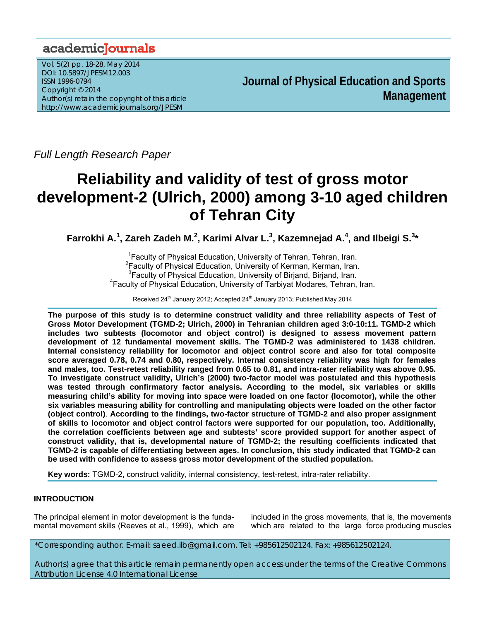# academicJournals

Vol. 5(2) pp. 18-28, May 2014 DOI: 10.5897/JPESM12.003 ISSN 1996-0794 Copyright © 2014 Author(s) retain the copyright of this article http://www.academicjournals.org/JPESM

**Journal of Physical Education and Sports Management**

*Full Length Research Paper*

# **Reliability and validity of test of gross motor development-2 (Ulrich, 2000) among 3-10 aged children of Tehran City**

 $F$ arrokhi A.<sup>1</sup>, Zareh Zadeh M.<sup>2</sup>, Karimi Alvar L.<sup>3</sup>, Kazemnejad A.<sup>4</sup>, and Ilbeigi S.<sup>3</sup>\*

<sup>1</sup> Faculty of Physical Education, University of Tehran, Tehran, Iran.<br><sup>2</sup> Faculty of Physical Education, University of Kerman, Kerman, Iran.  $2$ Faculty of Physical Education, University of Kerman, Kerman, Iran. <sup>3</sup> Faculty of Physical Education, University of Birjand, Birjand, Iran. <sup>4</sup> Faculty of Physical Education, University of Tarbiyat Modares, Tehran, Iran.

Received 24<sup>th</sup> January 2012; Accepted 24<sup>th</sup> January 2013; Published May 2014

**The purpose of this study is to determine construct validity and three reliability aspects of Test of Gross Motor Development (TGMD-2; Ulrich, 2000) in Tehranian children aged 3:0-10:11. TGMD-2 which includes two subtests (locomotor and object control) is designed to assess movement pattern development of 12 fundamental movement skills. The TGMD-2 was administered to 1438 children. Internal consistency reliability for locomotor and object control score and also for total composite score averaged 0.78, 0.74 and 0.80, respectively. Internal consistency reliability was high for females and males, too. Test-retest reliability ranged from 0.65 to 0.81, and intra-rater reliability was above 0.95. To investigate construct validity, Ulrich's (2000) two-factor model was postulated and this hypothesis was tested through confirmatory factor analysis. According to the model, six variables or skills measuring child's ability for moving into space were loaded on one factor (locomotor), while the other six variables measuring ability for controlling and manipulating objects were loaded on the other factor (object control)**. **According to the findings, two-factor structure of TGMD-2 and also proper assignment of skills to locomotor and object control factors were supported for our population, too. Additionally, the correlation coefficients between age and subtests' score provided support for another aspect of construct validity, that is, developmental nature of TGMD-2; the resulting coefficients indicated that TGMD-2 is capable of differentiating between ages. In conclusion, this study indicated that TGMD-2 can be used with confidence to assess gross motor development of the studied population.** 

**Key words:** TGMD-2, construct validity, internal consistency, test-retest, intra-rater reliability.

# **INTRODUCTION**

The principal element in motor development is the fundamental movement skills (Reeves et al., 1999), which are

included in the gross movements, that is, the movements which are related to the large force producing muscles

\*Corresponding author. E-mail: saeed.ilb@gmail.com. Tel: +985612502124. Fax: +985612502124.

Author(s) agree that this article remain permanently open access under the terms of the Creative Commons Attribution License 4.0 International License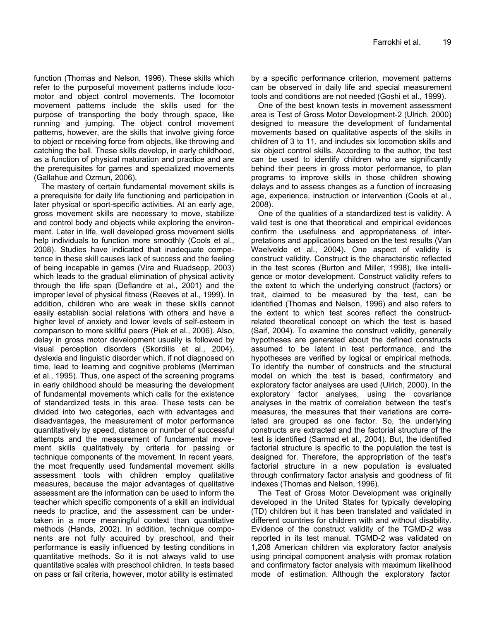function (Thomas and Nelson, 1996). These skills which refer to the purposeful movement patterns include locomotor and object control movements. The locomotor movement patterns include the skills used for the purpose of transporting the body through space, like running and jumping. The object control movement patterns, however, are the skills that involve giving force to object or receiving force from objects, like throwing and catching the ball. These skills develop, in early childhood, as a function of physical maturation and practice and are the prerequisites for games and specialized movements (Gallahue and Ozmun, 2006).

The mastery of certain fundamental movement skills is a prerequisite for daily life functioning and participation in later physical or sport-specific activities. At an early age, gross movement skills are necessary to move, stabilize and control body and objects while exploring the environment. Later in life, well developed gross movement skills help individuals to function more smoothly (Cools et al., 2008). Studies have indicated that inadequate competence in these skill causes lack of success and the feeling of being incapable in games (Vira and Ruadsepp, 2003) which leads to the gradual elimination of physical activity through the life span (Deflandre et al., 2001) and the improper level of physical fitness (Reeves et al., 1999). In addition, children who are weak in these skills cannot easily establish social relations with others and have a higher level of anxiety and lower levels of self-esteem in comparison to more skillful peers (Piek et al., 2006). Also, delay in gross motor development usually is followed by visual perception disorders (Skordilis et al., 2004), dyslexia and linguistic disorder which, if not diagnosed on time, lead to learning and cognitive problems (Merriman et al., 1995). Thus, one aspect of the screening programs in early childhood should be measuring the development of fundamental movements which calls for the existence of standardized tests in this area. These tests can be divided into two categories, each with advantages and disadvantages, the measurement of motor performance quantitatively by speed, distance or number of successful attempts and the measurement of fundamental movement skills qualitatively by criteria for passing or technique components of the movement. In recent years, the most frequently used fundamental movement skills assessment tools with children employ qualitative measures, because the major advantages of qualitative assessment are the information can be used to inform the teacher which specific components of a skill an individual needs to practice, and the assessment can be undertaken in a more meaningful context than quantitative methods (Hands, 2002). In addition, technique components are not fully acquired by preschool, and their performance is easily influenced by testing conditions in quantitative methods. So it is not always valid to use quantitative scales with preschool children. In tests based on pass or fail criteria, however, motor ability is estimated

by a specific performance criterion, movement patterns can be observed in daily life and special measurement tools and conditions are not needed (Goshi et al., 1999).

One of the best known tests in movement assessment area is Test of Gross Motor Development-2 (Ulrich, 2000) designed to measure the development of fundamental movements based on qualitative aspects of the skills in children of 3 to 11, and includes six locomotion skills and six object control skills. According to the author, the test can be used to identify children who are significantly behind their peers in gross motor performance, to plan programs to improve skills in those children showing delays and to assess changes as a function of increasing age, experience, instruction or intervention (Cools et al., 2008).

One of the qualities of a standardized test is validity. A valid test is one that theoretical and empirical evidences confirm the usefulness and appropriateness of interpretations and applications based on the test results (Van Waelvelde et al., 2004). One aspect of validity is construct validity. Construct is the characteristic reflected in the test scores (Burton and Miller, 1998), like intelligence or motor development. Construct validity refers to the extent to which the underlying construct (factors) or trait, claimed to be measured by the test, can be identified (Thomas and Nelson, 1996) and also refers to the extent to which test scores reflect the constructrelated theoretical concept on which the test is based (Saif, 2004). To examine the construct validity, generally hypotheses are generated about the defined constructs assumed to be latent in test performance, and the hypotheses are verified by logical or empirical methods. To identify the number of constructs and the structural model on which the test is based, confirmatory and exploratory factor analyses are used (Ulrich, 2000). In the exploratory factor analyses, using the covariance analyses in the matrix of correlation between the test's measures, the measures that their variations are correlated are grouped as one factor. So, the underlying constructs are extracted and the factorial structure of the test is identified (Sarmad et al., 2004). But, the identified factorial structure is specific to the population the test is designed for. Therefore, the appropriation of the test's factorial structure in a new population is evaluated through confirmatory factor analysis and goodness of fit indexes (Thomas and Nelson, 1996).

The Test of Gross Motor Development was originally developed in the United States for typically developing (TD) children but it has been translated and validated in different countries for children with and without disability. Evidence of the construct validity of the TGMD-2 was reported in its test manual. TGMD-2 was validated on 1,208 American children via exploratory factor analysis using principal component analysis with promax rotation and confirmatory factor analysis with maximum likelihood mode of estimation. Although the exploratory factor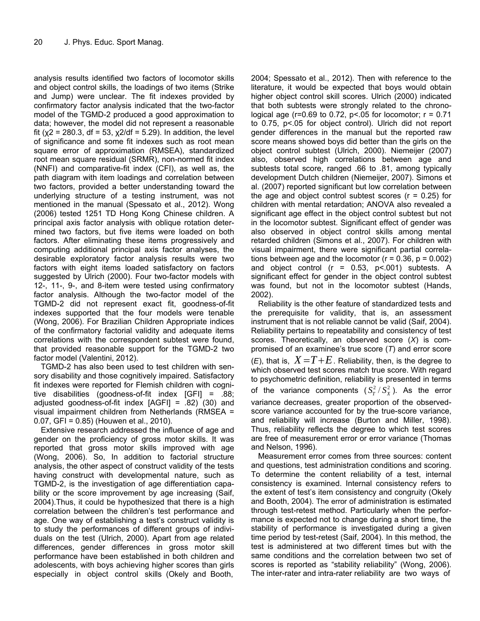analysis results identified two factors of locomotor skills and object control skills, the loadings of two items (Strike and Jump) were unclear. The fit indexes provided by confirmatory factor analysis indicated that the two-factor model of the TGMD-2 produced a good approximation to data; however, the model did not represent a reasonable fit ( $\chi$ 2 = 280.3, df = 53,  $\chi$ 2/df = 5.29). In addition, the level of significance and some fit indexes such as root mean square error of approximation (RMSEA), standardized root mean square residual (SRMR), non-normed fit index (NNFI) and comparative-fit index (CFI), as well as, the path diagram with item loadings and correlation between two factors, provided a better understanding toward the underlying structure of a testing instrument, was not mentioned in the manual (Spessato et al., 2012). Wong (2006) tested 1251 TD Hong Kong Chinese children. A principal axis factor analysis with oblique rotation determined two factors, but five items were loaded on both factors. After eliminating these items progressively and computing additional principal axis factor analyses, the desirable exploratory factor analysis results were two factors with eight items loaded satisfactory on factors suggested by Ulrich (2000). Four two-factor models with 12-, 11-, 9-, and 8-item were tested using confirmatory factor analysis. Although the two-factor model of the TGMD-2 did not represent exact fit, goodness-of-fit indexes supported that the four models were tenable (Wong, 2006). For Brazilian Children Appropriate indices of the confirmatory factorial validity and adequate items correlations with the correspondent subtest were found, that provided reasonable support for the TGMD-2 two factor model (Valentini, 2012).

TGMD-2 has also been used to test children with sensory disability and those cognitively impaired. Satisfactory fit indexes were reported for Flemish children with cognitive disabilities (goodness-of-fit index [GFI] = .88; adjusted goodness-of-fit index [AGFI] = .82) (30) and visual impairment children from Netherlands (RMSEA = 0.07, GFI = 0.85) (Houwen et al., 2010).

Extensive research addressed the influence of age and gender on the proficiency of gross motor skills. It was reported that gross motor skills improved with age (Wong, 2006). So, In addition to factorial structure analysis, the other aspect of construct validity of the tests having construct with developmental nature, such as TGMD-2, is the investigation of age differentiation capability or the score improvement by age increasing (Saif, 2004).Thus, it could be hypothesized that there is a high correlation between the children's test performance and age. One way of establishing a test's construct validity is to study the performances of different groups of individuals on the test (Ulrich, 2000). Apart from age related differences, gender differences in gross motor skill performance have been established in both children and adolescents, with boys achieving higher scores than girls especially in object control skills (Okely and Booth,

2004; Spessato et al., 2012). Then with reference to the literature, it would be expected that boys would obtain higher object control skill scores. Ulrich (2000) indicated that both subtests were strongly related to the chronological age ( $r=0.69$  to 0.72,  $p<.05$  for locomotor;  $r = 0.71$ to 0.75, p<.05 for object control). Ulrich did not report gender differences in the manual but the reported raw score means showed boys did better than the girls on the object control subtest (Ulrich, 2000). Niemeijer (2007) also, observed high correlations between age and subtests total score, ranged .66 to .81, among typically development Dutch children (Niemeijer, 2007). Simons et al. (2007) reported significant but low correlation between the age and object control subtest scores  $(r = 0.25)$  for children with mental retardation; ANOVA also revealed a significant age effect in the object control subtest but not in the locomotor subtest. Significant effect of gender was also observed in object control skills among mental retarded children (Simons et al., 2007). For children with visual impairment, there were significant partial correlations between age and the locomotor  $(r = 0.36, p = 0.002)$ and object control  $(r = 0.53, p < .001)$  subtests. A significant effect for gender in the object control subtest was found, but not in the locomotor subtest (Hands, 2002).

Reliability is the other feature of standardized tests and the prerequisite for validity, that is, an assessment instrument that is not reliable cannot be valid (Saif, 2004). Reliability pertains to repeatability and consistency of test scores. Theoretically, an observed score (*X*) is compromised of an examinee's true score (*T*) and error score (*E*), that is,  $X = T + E$ . Reliability, then, is the degree to which observed test scores match true score. With regard to psychometric definition, reliability is presented in terms of the variance components  $(S_T^2/S_X^2)$ . As the error variance decreases, greater proportion of the observedscore variance accounted for by the true-score variance, and reliability will increase (Burton and Miller, 1998). Thus, reliability reflects the degree to which test scores are free of measurement error or error variance (Thomas and Nelson, 1996).

Measurement error comes from three sources: content and questions, test administration conditions and scoring. To determine the content reliability of a test, internal consistency is examined. Internal consistency refers to the extent of test's item consistency and congruity (Okely and Booth, 2004). The error of administration is estimated through test-retest method. Particularly when the performance is expected not to change during a short time, the stability of performance is investigated during a given time period by test-retest (Saif, 2004). In this method, the test is administered at two different times but with the same conditions and the correlation between two set of scores is reported as "stability reliability" (Wong, 2006). The inter-rater and intra-rater reliability are two ways of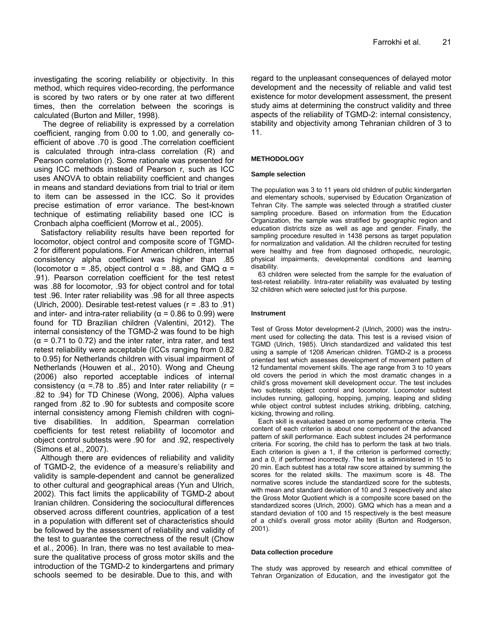investigating the scoring reliability or objectivity. In this method, which requires video-recording, the performance is scored by two raters or by one rater at two different times, then the correlation between the scorings is calculated (Burton and Miller, 1998).

 The degree of reliability is expressed by a correlation coefficient, ranging from 0.00 to 1.00, and generally coefficient of above .70 is good .The correlation coefficient is calculated through intra-class correlation (R) and Pearson correlation (r). Some rationale was presented for using ICC methods instead of Pearson r, such as ICC uses ANOVA to obtain reliability coefficient and changes in means and standard deviations from trial to trial or item to item can be assessed in the ICC. So it provides precise estimation of error variance. The best-known technique of estimating reliability based one ICC is Cronbach alpha coefficient (Morrow et al., 2005).

Satisfactory reliability results have been reported for locomotor, object control and composite score of TGMD-2 for different populations. For American children, internal consistency alpha coefficient was higher than .85 (locomotor  $\alpha$  = .85, object control  $\alpha$  = .88, and GMQ  $\alpha$  = .91). Pearson correlation coefficient for the test retest was .88 for locomotor, .93 for object control and for total test .96. Inter rater reliability was .98 for all three aspects (Ulrich, 2000). Desirable test-retest values (r = .83 to .91) and inter- and intra-rater reliability ( $\alpha$  = 0.86 to 0.99) were found for TD Brazilian children (Valentini, 2012). The internal consistency of the TGMD-2 was found to be high  $(\alpha = 0.71$  to 0.72) and the inter rater, intra rater, and test retest reliability were acceptable (ICCs ranging from 0.82 to 0.95) for Netherlands children with visual impairment of Netherlands (Houwen et al., 2010). Wong and Cheung (2006) also reported acceptable indices of internal consistency ( $\alpha$  =.78 to .85) and Inter rater reliability ( $r =$ .82 to .94) for TD Chinese (Wong, 2006). Alpha values ranged from .82 to .90 for subtests and composite score internal consistency among Flemish children with cognitive disabilities. In addition, Spearman correlation coefficients for test retest reliability of locomotor and object control subtests were .90 for and .92, respectively (Simons et al., 2007).

Although there are evidences of reliability and validity of TGMD-2, the evidence of a measure's reliability and validity is sample-dependent and cannot be generalized to other cultural and geographical areas (Yun and Ulrich, 2002). This fact limits the applicability of TGMD-2 about Iranian children. Considering the sociocultural differences observed across different countries, application of a test in a population with different set of characteristics should be followed by the assessment of reliability and validity of the test to guarantee the correctness of the result (Chow et al., 2006). In Iran, there was no test available to measure the qualitative process of gross motor skills and the introduction of the TGMD-2 to kindergartens and primary schools seemed to be desirable. Due to this, and with

regard to the unpleasant consequences of delayed motor development and the necessity of reliable and valid test existence for motor development assessment, the present study aims at determining the construct validity and three aspects of the reliability of TGMD-2: internal consistency, stability and objectivity among Tehranian children of 3 to 11.

#### **METHODOLOGY**

#### **Sample selection**

The population was 3 to 11 years old children of public kindergarten and elementary schools, supervised by Education Organization of Tehran City. The sample was selected through a stratified cluster sampling procedure. Based on information from the Education Organization, the sample was stratified by geographic region and education districts size as well as age and gender. Finally, the sampling procedure resulted in 1438 persons as target population for normalization and validation. All the children recruited for testing were healthy and free from diagnosed orthopedic, neurologic, physical impairments, developmental conditions and learning disability.

63 children were selected from the sample for the evaluation of test-retest reliability. Intra-rater reliability was evaluated by testing 32 children which were selected just for this purpose.

#### **Instrument**

Test of Gross Motor development-2 (Ulrich, 2000) was the instrument used for collecting the data. This test is a revised vision of TGMD (Ulrich, 1985). Ulrich standardized and validated this test using a sample of 1208 American children. TGMD-2 is a process oriented test which assesses development of movement pattern of 12 fundamental movement skills. The age range from 3 to 10 years old covers the period in which the most dramatic changes in a child's gross movement skill development occur. The test includes two subtests: object control and locomotor. Locomotor subtest includes running, galloping, hopping, jumping, leaping and sliding while object control subtest includes striking, dribbling, catching, kicking, throwing and rolling.

Each skill is evaluated based on some performance criteria. The content of each criterion is about one component of the advanced pattern of skill performance. Each subtest includes 24 performance criteria. For scoring, the child has to perform the task at two trials. Each criterion is given a 1, if the criterion is performed correctly; and a 0, if performed incorrectly. The test is administered in 15 to 20 min. Each subtest has a total raw score attained by summing the scores for the related skills. The maximum score is 48. The normative scores include the standardized score for the subtests, with mean and standard deviation of 10 and 3 respectively and also the Gross Motor Quotient which is a composite score based on the standardized scores (Ulrich, 2000). GMQ which has a mean and a standard deviation of 100 and 15 respectively is the best measure of a child's overall gross motor ability (Burton and Rodgerson, 2001).

#### **Data collection procedure**

The study was approved by research and ethical committee of Tehran Organization of Education, and the investigator got the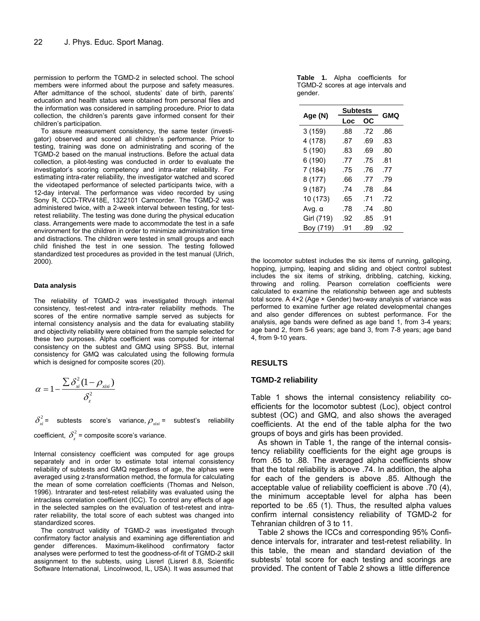permission to perform the TGMD-2 in selected school. The school members were informed about the purpose and safety measures. After admittance of the school, students' date of birth, parents' education and health status were obtained from personal files and the information was considered in sampling procedure. Prior to data collection, the children's parents gave informed consent for their children's participation.

To assure measurement consistency, the same tester (investigator) observed and scored all children's performance. Prior to testing, training was done on administrating and scoring of the TGMD-2 based on the manual instructions. Before the actual data collection, a pilot-testing was conducted in order to evaluate the investigator's scoring competency and intra-rater reliability. For estimating intra-rater reliability, the investigator watched and scored the videotaped performance of selected participants twice, with a 12-day interval. The performance was video recorded by using Sony R, CCD-TRV418E, 1322101 Camcorder. The TGMD-2 was administered twice, with a 2-week interval between testing, for testretest reliability. The testing was done during the physical education class. Arrangements were made to accommodate the test in a safe environment for the children in order to minimize administration time and distractions. The children were tested in small groups and each child finished the test in one session. The testing followed standardized test procedures as provided in the test manual (Ulrich, 2000).

#### **Data analysis**

The reliability of TGMD-2 was investigated through internal consistency, test-retest and intra-rater reliability methods. The scores of the entire normative sample served as subjects for internal consistency analysis and the data for evaluating stability and objectivity reliability were obtained from the sample selected for these two purposes. Alpha coefficient was computed for internal consistency on the subtest and GMQ using SPSS. But, internal consistency for GMQ was calculated using the following formula which is designed for composite scores (20).

$$
\alpha = 1 - \frac{\sum \delta_{xi}^2 (1 - \rho_{xix})}{\delta_z^2}
$$

 $\delta_{x\hat{i}}^2$  = subtests score's variance,  $\rho_{x\hat{i}x\hat{i}}$  = subtest's reliability coefficient,  $\delta_z^2$  = composite score's variance.

Internal consistency coefficient was computed for age groups separately and in order to estimate total internal consistency reliability of subtests and GMQ regardless of age, the alphas were averaged using z-transformation method, the formula for calculating the mean of some correlation coefficients (Thomas and Nelson, 1996). Intrarater and test-retest reliability was evaluated using the intraclass correlation coefficient (ICC). To control any effects of age in the selected samples on the evaluation of test-retest and intrarater reliability, the total score of each subtest was changed into standardized scores.

The construct validity of TGMD-2 was investigated through confirmatory factor analysis and examining age differentiation and gender differences. Maximum-likelihood confirmatory factor analyses were performed to test the goodness-of-fit of TGMD-2 skill assignment to the subtests, using Lisrerl (Lisrerl 8.8, Scientific Software International, Lincolnwood, IL, USA). It was assumed that

|         |  |  | Table 1. Alpha coefficients for    |  |
|---------|--|--|------------------------------------|--|
|         |  |  | TGMD-2 scores at age intervals and |  |
| gender. |  |  |                                    |  |

|            | Subtests | <b>GMQ</b> |     |
|------------|----------|------------|-----|
| Age (N)    | Loc      | ОС         |     |
| 3 (159)    | .88      | .72        | .86 |
| 4 (178)    | .87      | .69        | .83 |
| 5 (190)    | .83      | .69        | .80 |
| 6 (190)    | .77      | .75        | .81 |
| 7 (184)    | .75      | .76        | -77 |
| 8 (177)    | .66      | .77        | .79 |
| 9 (187)    | .74      | .78        | .84 |
| 10 (173)   | .65      | .71        | .72 |
| Aνg. α     | .78      | .74        | .80 |
| Girl (719) | .92      | .85        | .91 |
| Bov (719)  | .91      | .89        | .92 |

the locomotor subtest includes the six items of running, galloping, hopping, jumping, leaping and sliding and object control subtest includes the six items of striking, dribbling, catching, kicking, throwing and rolling. Pearson correlation coefficients were calculated to examine the relationship between age and subtests total score. A 4×2 (Age × Gender) two-way analysis of variance was performed to examine further age related developmental changes and also gender differences on subtest performance. For the analysis, age bands were defined as age band 1, from 3-4 years; age band 2, from 5-6 years; age band 3, from 7-8 years; age band 4, from 9-10 years.

#### **RESULTS**

#### **TGMD-2 reliability**

Table 1 shows the internal consistency reliability coefficients for the locomotor subtest (Loc), object control subtest (OC) and GMQ, and also shows the averaged coefficients. At the end of the table alpha for the two groups of boys and girls has been provided.

As shown in Table 1, the range of the internal consistency reliability coefficients for the eight age groups is from .65 to .88. The averaged alpha coefficients show that the total reliability is above .74. In addition, the alpha for each of the genders is above .85. Although the acceptable value of reliability coefficient is above .70 (4), the minimum acceptable level for alpha has been reported to be .65 (1). Thus, the resulted alpha values confirm internal consistency reliability of TGMD-2 for Tehranian children of 3 to 11.

Table 2 shows the ICCs and corresponding 95% Confidence intervals for, intrarater and test-retest reliability. In this table, the mean and standard deviation of the subtests' total score for each testing and scorings are provided. The content of Table 2 shows a little difference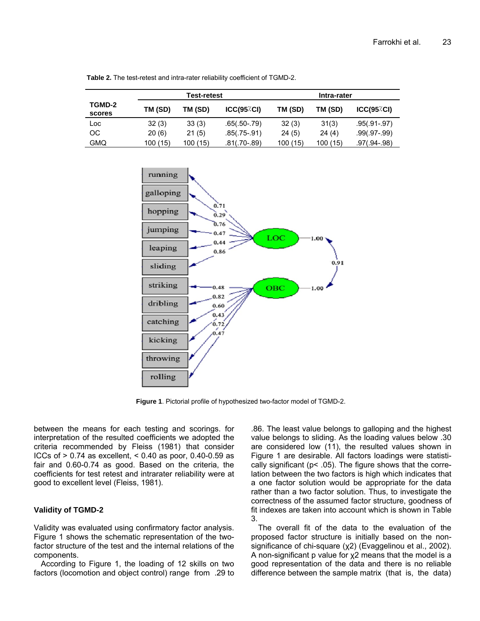|                         |          | Test-retest |                | Intra-rater |         |              |
|-------------------------|----------|-------------|----------------|-------------|---------|--------------|
| <b>TGMD-2</b><br>scores | TM (SD)  | TM (SD)     | ICC(95/CI)     | TM (SD)     | TM (SD) | ICC(95/CI)   |
| Loc                     | 32(3)    | 33(3)       | $.65(.50-.79)$ | 32(3)       | 31(3)   | .95(.91-.97) |
| OС                      | 20(6)    | 21(5)       | $.85(.75-.91)$ | 24(5)       | 24(4)   | .99(.97-.99) |
| GMQ                     | 100 (15) | 100(15)     | $.81(.70-.89)$ | 100(15)     | 100(15) | .97(.94-.98) |

**Table 2.** The test-retest and intra-rater reliability coefficient of TGMD-2.



**Figure 1**. Pictorial profile of hypothesized two-factor model of TGMD-2.

between the means for each testing and scorings. for interpretation of the resulted coefficients we adopted the criteria recommended by Fleiss (1981) that consider ICCs of > 0.74 as excellent, < 0.40 as poor, 0.40-0.59 as fair and 0.60-0.74 as good. Based on the criteria, the coefficients for test retest and intrarater reliability were at good to excellent level (Fleiss, 1981).

### **Validity of TGMD-2**

Validity was evaluated using confirmatory factor analysis. Figure 1 shows the schematic representation of the twofactor structure of the test and the internal relations of the components.

According to Figure 1, the loading of 12 skills on two factors (locomotion and object control) range from .29 to

.86. The least value belongs to galloping and the highest value belongs to sliding. As the loading values below .30 are considered low (11), the resulted values shown in Figure 1 are desirable. All factors loadings were statistically significant (p< .05). The figure shows that the correlation between the two factors is high which indicates that a one factor solution would be appropriate for the data rather than a two factor solution. Thus, to investigate the correctness of the assumed factor structure, goodness of fit indexes are taken into account which is shown in Table 3.

The overall fit of the data to the evaluation of the proposed factor structure is initially based on the nonsignificance of chi-square (χ2) (Evaggelinou et al., 2002). A non-significant p value for χ2 means that the model is a good representation of the data and there is no reliable difference between the sample matrix (that is, the data)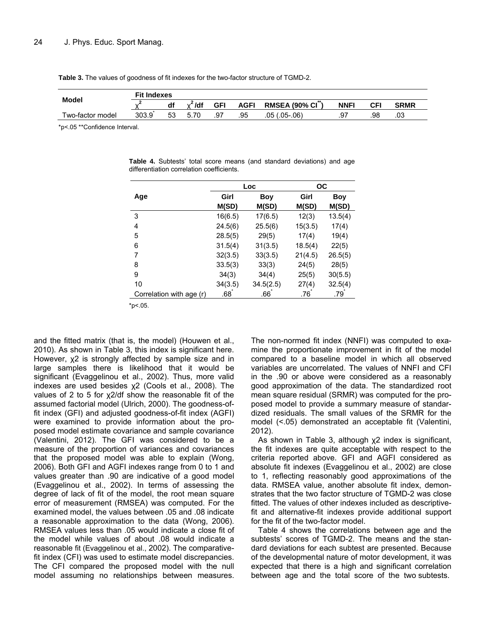|                  | <b>Fit Indexes</b> |    |                                                                                 |     |     |                |           |     |     |
|------------------|--------------------|----|---------------------------------------------------------------------------------|-----|-----|----------------|-----------|-----|-----|
| <b>Model</b>     |                    | df | RMSEA (90% CI<br>/df<br>GFI<br><b>NNF'</b><br><b>AGFI</b><br>CFI<br><b>SRMR</b> |     |     |                |           |     |     |
| Two-factor model | 303.9              | 53 | 5.70                                                                            | .97 | .95 | $.05(.05-.06)$ | a.<br>، ت | .98 | .U3 |

**Table 3.** The values of goodness of fit indexes for the two-factor structure of TGMD-2.

\*p<.05 \*\*Confidence Interval.

|                          |                  | Loc        | ОC      |         |  |
|--------------------------|------------------|------------|---------|---------|--|
| Age                      | Girl             | <b>Boy</b> | Girl    | Boy     |  |
|                          | M(SD)            | M(SD)      | M(SD)   | M(SD)   |  |
| 3                        | 16(6.5)          | 17(6.5)    | 12(3)   | 13.5(4) |  |
| 4                        | 24.5(6)          | 25.5(6)    | 15(3.5) | 17(4)   |  |
| 5                        | 28.5(5)          | 29(5)      | 17(4)   | 19(4)   |  |
| 6                        | 31.5(4)          | 31(3.5)    | 18.5(4) | 22(5)   |  |
| 7                        | 32(3.5)          | 33(3.5)    | 21(4.5) | 26.5(5) |  |
| 8                        | 33.5(3)          | 33(3)      | 24(5)   | 28(5)   |  |
| 9                        | 34(3)            | 34(4)      | 25(5)   | 30(5.5) |  |
| 10                       | 34(3.5)          | 34.5(2.5)  | 27(4)   | 32.5(4) |  |
| Correlation with age (r) | .68 <sup>°</sup> | .66        | .76     | .79     |  |

**Table 4.** Subtests' total score means (and standard deviations) and age differentiation correlation coefficients.

 $*p<.05$ .

and the fitted matrix (that is, the model) (Houwen et al., 2010). As shown in Table 3, this index is significant here. However, χ2 is strongly affected by sample size and in large samples there is likelihood that it would be significant (Evaggelinou et al., 2002). Thus, more valid indexes are used besides χ2 (Cools et al., 2008). The values of 2 to 5 for χ2/df show the reasonable fit of the assumed factorial model (Ulrich, 2000). The goodness-offit index (GFI) and adjusted goodness-of-fit index (AGFI) were examined to provide information about the proposed model estimate covariance and sample covariance (Valentini, 2012). The GFI was considered to be a measure of the proportion of variances and covariances that the proposed model was able to explain (Wong, 2006). Both GFI and AGFI indexes range from 0 to 1 and values greater than .90 are indicative of a good model (Evaggelinou et al., 2002). In terms of assessing the degree of lack of fit of the model, the root mean square error of measurement (RMSEA) was computed. For the examined model, the values between .05 and .08 indicate a reasonable approximation to the data (Wong, 2006). RMSEA values less than .05 would indicate a close fit of the model while values of about .08 would indicate a reasonable fit (Evaggelinou et al., 2002). The comparativefit index (CFI) was used to estimate model discrepancies. The CFI compared the proposed model with the null model assuming no relationships between measures.

The non-normed fit index (NNFI) was computed to examine the proportionate improvement in fit of the model compared to a baseline model in which all observed variables are uncorrelated. The values of NNFI and CFI in the .90 or above were considered as a reasonably good approximation of the data. The standardized root mean square residual (SRMR) was computed for the proposed model to provide a summary measure of standardized residuals. The small values of the SRMR for the model (<.05) demonstrated an acceptable fit (Valentini, 2012).

As shown in Table 3, although χ2 index is significant, the fit indexes are quite acceptable with respect to the criteria reported above. GFI and AGFI considered as absolute fit indexes (Evaggelinou et al., 2002) are close to 1, reflecting reasonably good approximations of the data. RMSEA value, another absolute fit index, demonstrates that the two factor structure of TGMD-2 was close fitted. The values of other indexes included as descriptivefit and alternative-fit indexes provide additional support for the fit of the two-factor model.

Table 4 shows the correlations between age and the subtests' scores of TGMD-2. The means and the standard deviations for each subtest are presented. Because of the developmental nature of motor development, it was expected that there is a high and significant correlation between age and the total score of the two subtests.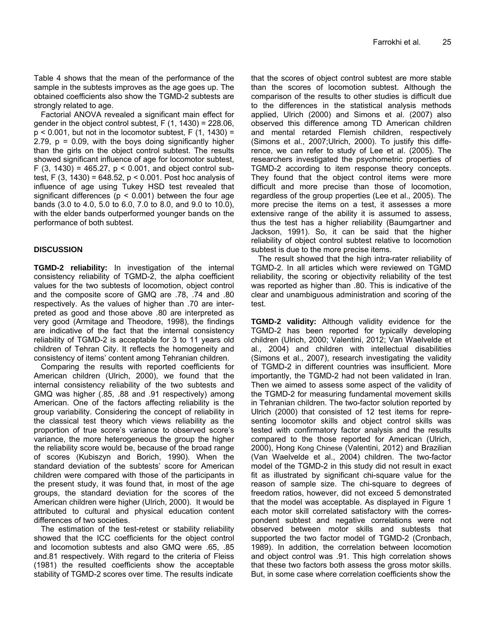Table 4 shows that the mean of the performance of the sample in the subtests improves as the age goes up. The obtained coefficients also show the TGMD-2 subtests are strongly related to age.

Factorial ANOVA revealed a significant main effect for gender in the object control subtest,  $F(1, 1430) = 228.06$ ,  $p < 0.001$ , but not in the locomotor subtest, F  $(1, 1430) =$ 2.79,  $p = 0.09$ , with the boys doing significantly higher than the girls on the object control subtest. The results showed significant influence of age for locomotor subtest, F  $(3, 1430) = 465.27$ ,  $p < 0.001$ , and object control subtest, F (3, 1430) = 648.52, p < 0.001. Post hoc analysis of influence of age using Tukey HSD test revealed that significant differences ( $p < 0.001$ ) between the four age bands (3.0 to 4.0, 5.0 to 6.0, 7.0 to 8.0, and 9.0 to 10.0), with the elder bands outperformed younger bands on the performance of both subtest.

## **DISCUSSION**

**TGMD-2 reliability:** In investigation of the internal consistency reliability of TGMD-2, the alpha coefficient values for the two subtests of locomotion, object control and the composite score of GMQ are .78, .74 and .80 respectively. As the values of higher than .70 are interpreted as good and those above .80 are interpreted as very good (Armitage and Theodore, 1998), the findings are indicative of the fact that the internal consistency reliability of TGMD-2 is acceptable for 3 to 11 years old children of Tehran City. It reflects the homogeneity and consistency of items' content among Tehranian children.

Comparing the results with reported coefficients for American children (Ulrich, 2000), we found that the internal consistency reliability of the two subtests and GMQ was higher (.85, .88 and .91 respectively) among American. One of the factors affecting reliability is the group variability. Considering the concept of reliability in the classical test theory which views reliability as the proportion of true score's variance to observed score's variance, the more heterogeneous the group the higher the reliability score would be, because of the broad range of scores (Kubiszyn and Borich, 1990). When the standard deviation of the subtests' score for American children were compared with those of the participants in the present study, it was found that, in most of the age groups, the standard deviation for the scores of the American children were higher (Ulrich, 2000). It would be attributed to cultural and physical education content differences of two societies.

The estimation of the test-retest or stability reliability showed that the ICC coefficients for the object control and locomotion subtests and also GMQ were .65, .85 and.81 respectively. With regard to the criteria of Fleiss (1981) the resulted coefficients show the acceptable stability of TGMD-2 scores over time. The results indicate that the scores of object control subtest are more stable than the scores of locomotion subtest. Although the comparison of the results to other studies is difficult due to the differences in the statistical analysis methods applied, Ulrich (2000) and Simons et al. (2007) also observed this difference among TD American children and mental retarded Flemish children, respectively (Simons et al., 2007;Ulrich, 2000). To justify this difference, we can refer to study of Lee et al. (2005). The researchers investigated the psychometric properties of TGMD-2 according to item response theory concepts. They found that the object control items were more difficult and more precise than those of locomotion, regardless of the group properties (Lee et al., 2005). The more precise the items on a test, it assesses a more extensive range of the ability it is assumed to assess, thus the test has a higher reliability (Baumgartner and Jackson, 1991). So, it can be said that the higher reliability of object control subtest relative to locomotion subtest is due to the more precise items.

The result showed that the high intra-rater reliability of TGMD-2. In all articles which were reviewed on TGMD reliability, the scoring or objectivity reliability of the test was reported as higher than .80. This is indicative of the clear and unambiguous administration and scoring of the test.

**TGMD-2 validity:** Although validity evidence for the TGMD-2 has been reported for typically developing children (Ulrich, 2000; Valentini, 2012; Van Waelvelde et al., 2004) and children with intellectual disabilities (Simons et al., 2007), research investigating the validity of TGMD-2 in different countries was insufficient. More importantly, the TGMD-2 had not been validated in Iran. Then we aimed to assess some aspect of the validity of the TGMD-2 for measuring fundamental movement skills in Tehranian children. The two-factor solution reported by Ulrich (2000) that consisted of 12 test items for representing locomotor skills and object control skills was tested with confirmatory factor analysis and the results compared to the those reported for American (Ulrich, 2000), Hong Kong Chinese (Valentini, 2012) and Brazilian (Van Waelvelde et al., 2004) children. The two-factor model of the TGMD-2 in this study did not result in exact fit as illustrated by significant chi-square value for the reason of sample size. The chi-square to degrees of freedom ratios, however, did not exceed 5 demonstrated that the model was acceptable. As displayed in Figure 1 each motor skill correlated satisfactory with the correspondent subtest and negative correlations were not observed between motor skills and subtests that supported the two factor model of TGMD-2 (Cronbach, 1989). In addition, the correlation between locomotion and object control was .91. This high correlation shows that these two factors both assess the gross motor skills. But, in some case where correlation coefficients show the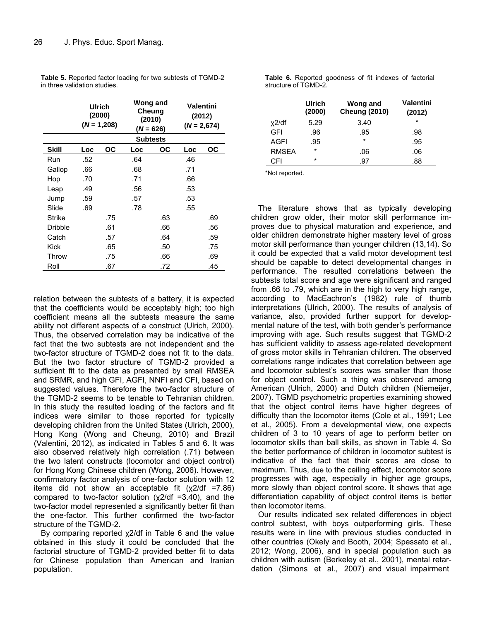|                | Ulrich<br>(2000)<br>$(N = 1,208)$ |     |     | Wong and<br>Cheung<br>(2010)<br>( <i>N</i> = 626) |     | <b>Valentini</b><br>(2012)<br>$(N = 2,674)$ |
|----------------|-----------------------------------|-----|-----|---------------------------------------------------|-----|---------------------------------------------|
|                |                                   |     |     | <b>Subtests</b>                                   |     |                                             |
| <b>Skill</b>   | Loc                               | ОC  | Loc | ОC                                                | Loc | ОC                                          |
| Run            | .52                               |     | .64 |                                                   | .46 |                                             |
| Gallop         | .66                               |     | .68 |                                                   | .71 |                                             |
| Hop            | .70                               |     | .71 |                                                   | .66 |                                             |
| Leap           | .49                               |     | .56 |                                                   | .53 |                                             |
| Jump           | .59                               |     | .57 |                                                   | .53 |                                             |
| Slide          | .69                               |     | .78 |                                                   | .55 |                                             |
| Strike         |                                   | .75 |     | .63                                               |     | .69                                         |
| <b>Dribble</b> |                                   | .61 |     | .66                                               |     | .56                                         |
| Catch          |                                   | .57 |     | .64                                               |     | .59                                         |
| Kick           |                                   | .65 |     | .50                                               |     | .75                                         |
| Throw          |                                   | .75 |     | .66                                               |     | .69                                         |
| Roll           |                                   | .67 |     | .72                                               |     | .45                                         |

**Table 5.** Reported factor loading for two subtests of TGMD-2 in three validation studies.

relation between the subtests of a battery, it is expected that the coefficients would be acceptably high; too high coefficient means all the subtests measure the same ability not different aspects of a construct (Ulrich, 2000). Thus, the observed correlation may be indicative of the fact that the two subtests are not independent and the two-factor structure of TGMD-2 does not fit to the data. But the two factor structure of TGMD-2 provided a sufficient fit to the data as presented by small RMSEA and SRMR, and high GFI, AGFI, NNFI and CFI, based on suggested values. Therefore the two-factor structure of the TGMD-2 seems to be tenable to Tehranian children. In this study the resulted loading of the factors and fit indices were similar to those reported for typically developing children from the United States (Ulrich, 2000), Hong Kong (Wong and Cheung, 2010) and Brazil (Valentini, 2012), as indicated in Tables 5 and 6. It was also observed relatively high correlation (.71) between the two latent constructs (locomotor and object control) for Hong Kong Chinese children (Wong, 2006). However, confirmatory factor analysis of one-factor solution with 12 items did not show an acceptable fit  $(x2/df = 7.86)$ compared to two-factor solution (χ2/df =3.40), and the two-factor model represented a significantly better fit than the one-factor. This further confirmed the two-factor structure of the TGMD-2.

By comparing reported χ2/df in Table 6 and the value obtained in this study it could be concluded that the factorial structure of TGMD-2 provided better fit to data for Chinese population than American and Iranian population.

**Table 6.** Reported goodness of fit indexes of factorial structure of TGMD-2.

|              | Ulrich<br>(2000) | Wong and<br><b>Cheung (2010)</b> | <b>Valentini</b><br>(2012) |
|--------------|------------------|----------------------------------|----------------------------|
| $x^2$ /df    | 5.29             | 3.40                             | $\star$                    |
| <b>GFI</b>   | .96              | .95                              | .98                        |
| AGFI         | .95              | $\star$                          | .95                        |
| <b>RMSEA</b> | $\star$          | .06                              | .06                        |
| CFI          | $\star$          | .97                              | .88                        |

\*Not reported.

The literature shows that as typically developing children grow older, their motor skill performance improves due to physical maturation and experience, and older children demonstrate higher mastery level of gross motor skill performance than younger children (13,14). So it could be expected that a valid motor development test should be capable to detect developmental changes in performance. The resulted correlations between the subtests total score and age were significant and ranged from .66 to .79, which are in the high to very high range, according to MacEachron's (1982) rule of thumb interpretations (Ulrich, 2000). The results of analysis of variance, also, provided further support for developmental nature of the test, with both gender's performance improving with age. Such results suggest that TGMD-2 has sufficient validity to assess age-related development of gross motor skills in Tehranian children. The observed correlations range indicates that correlation between age and locomotor subtest's scores was smaller than those for object control. Such a thing was observed among American (Ulrich, 2000) and Dutch children (Niemeijer, 2007). TGMD psychometric properties examining showed that the object control items have higher degrees of difficulty than the locomotor items (Cole et al., 1991; Lee et al., 2005). From a developmental view, one expects children of 3 to 10 years of age to perform better on locomotor skills than ball skills, as shown in Table 4. So the better performance of children in locomotor subtest is indicative of the fact that their scores are close to maximum. Thus, due to the ceiling effect, locomotor score progresses with age, especially in higher age groups, more slowly than object control score. It shows that age differentiation capability of object control items is better than locomotor items.

Our results indicated sex related differences in object control subtest, with boys outperforming girls. These results were in line with previous studies conducted in other countries (Okely and Booth, 2004; Spessato et al., 2012; Wong, 2006), and in special population such as children with autism (Berkeley et al., 2001), mental retardation (Simons et al., 2007) and visual impairment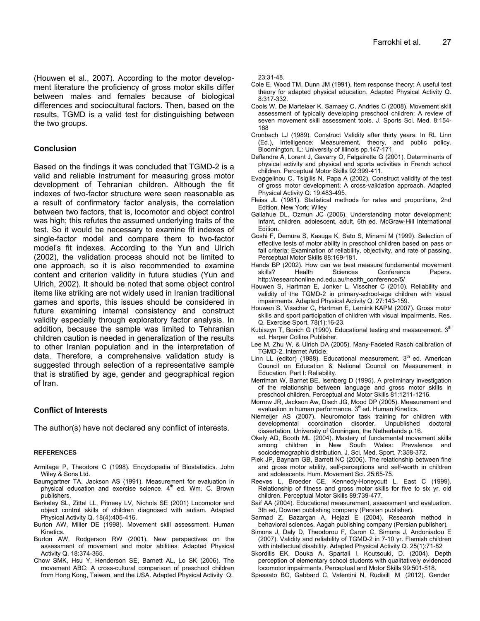(Houwen et al., 2007). According to the motor development literature the proficiency of gross motor skills differ between males and females because of biological differences and sociocultural factors. Then, based on the results, TGMD is a valid test for distinguishing between the two groups.

#### **Conclusion**

Based on the findings it was concluded that TGMD-2 is a valid and reliable instrument for measuring gross motor development of Tehranian children. Although the fit indexes of two-factor structure were seen reasonable as a result of confirmatory factor analysis, the correlation between two factors, that is, locomotor and object control was high; this refutes the assumed underlying traits of the test. So it would be necessary to examine fit indexes of single-factor model and compare them to two-factor model's fit indexes. According to the Yun and Ulrich (2002), the validation process should not be limited to one approach, so it is also recommended to examine content and criterion validity in future studies (Yun and Ulrich, 2002). It should be noted that some object control items like striking are not widely used in Iranian traditional games and sports, this issues should be considered in future examining internal consistency and construct validity especially through exploratory factor analysis. In addition, because the sample was limited to Tehranian children caution is needed in generalization of the results to other Iranian population and in the interpretation of data. Therefore, a comprehensive validation study is suggested through selection of a representative sample that is stratified by age, gender and geographical region of Iran.

#### **Conflict of Interests**

The author(s) have not declared any conflict of interests.

#### **REFERENCES**

- Armitage P, Theodore C (1998). Encyclopedia of Biostatistics. John Wiley & Sons Ltd.
- Baumgartner TA, Jackson AS (1991). Measurement for evaluation in physical education and exercise science.  $4<sup>th</sup>$  ed. Wm. C. Brown publishers.
- Berkeley SL, Zittel LL, Pitneey LV, Nichols SE (2001) Locomotor and object control skills of children diagnosed with autism. Adapted Physical Activity Q. 18(4):405-416.
- Burton AW, Miller DE (1998). Movement skill assessment. Human Kinetics.
- Burton AW, Rodgerson RW (2001). New perspectives on the assessment of movement and motor abilities. Adapted Physical Activity Q. 18:374-365.
- Chow SMK, Hsu Y, Henderson SE, Barnett AL, Lo SK (2006). The movement ABC: A cross-cultural comparison of preschool children from Hong Kong, Taiwan, and the USA. Adapted Physical Activity Q.

23:31-48.

- Cole E, Wood TM, Dunn JM (1991). Item response theory: A useful test theory for adapted physical education. Adapted Physical Activity Q. 8:317-332.
- Cools W, De Martelaer K, Samaey C, Andries C (2008). Movement skill assessment of typically developing preschool children: A review of seven movement skill assessment tools. J. Sports Sci. Med. 8:154- 168
- Cronbach LJ (1989). Construct Validity after thirty years. In RL Linn (Ed.), Intelligence: Measurement, theory, and public policy. Bloomington, IL: University of Illinois pp.147-171
- Deflandre A, Lorant J, Gavarry O, Falgairette G (2001). Determinants of physical activity and physical and sports activities in French school children. Perceptual Motor Skills 92:399-411.
- Evaggelinou C, Tsigilis N, Papa A (2002). Construct validity of the test of gross motor development; A cross-validation approach. Adapted Physical Activity Q. 19:483-495.
- Fleiss JL (1981). Statistical methods for rates and proportions, 2nd Edition. New York: Wiley
- Gallahue DL, Ozmun JC (2006). Understanding motor development: Infant, children, adolescent, adult. 6th ed. McGraw-Hill International Edition.
- Goshi F, Demura S, Kasuga K, Sato S, Minami M (1999). Selection of effective tests of motor ability in preschool children based on pass or fail criteria: Examination of reliability, objectivity, and rate of passing. Perceptual Motor Skills 88:169-181.
- Hands BP (2002). How can we best measure fundamental movement skills? Health Sciences Conference Papers. http://researchonline.nd.edu.au/health\_conference/5/
- Houwen S, Hartman E, Jonker L, Visscher C (2010). Reliability and validity of the TGMD-2 in primary-school-age children with visual impairments. Adapted Physical Activity Q. 27:143-159.
- Houwen S, Visscher C, Hartman E, Lemink KAPM (2007). Gross motor skills and sport participation of children with visual impairments. Res. Q. Exercise Sport. 78(1):16-23.
- Kubiszyn T, Borich G (1990). Educational testing and measurement.  $3<sup>th</sup>$ ed. Harper Collins Publisher.
- Lee M, Zhu W, & Ulrich DA (2005). Many-Faceted Rasch calibration of TGMD-2. Internet Article.
- Linn LL (editor) (1988). Educational measurement.  $3<sup>th</sup>$  ed. American Council on Education & National Council on Measurement in Education. Part I: Reliability.
- Merriman W, Barnet BE, Isenberg D (1995). A preliminary investigation of the relationship between language and gross motor skills in preschool children. Perceptual and Motor Skills 81:1211-1216.
- Morrow JR, Jackson Aw, Disch JG, Mood DP (2005). Measurement and evaluation in human performance. 3<sup>th</sup> ed. Human Kinetics.
- Niemeijer AS (2007). Neuromotor task training for children with developmental coordination disorder. Unpublished doctoral dissertation, University of Groningen, the Netherlands p.16.
- Okely AD, Booth ML (2004). Mastery of fundamental movement skills among children in New South Wales: Prevalence and sociodemographic distribution. J. Sci. Med. Sport. 7:358-372.
- Piek JP, Baynam GB, Barrett NC (2006). The relationship between fine and gross motor ability, self-perceptions and self-worth in children and adolescents. Hum. Movement Sci. 25:65-75.
- Reeves L, Broeder CE, Kennedy-Honeycutt L, East C (1999). Relationship of fitness and gross motor skills for five to six yr. old children. Perceptual Motor Skills 89:739-477.
- Saif AA (2004). Educational measurement, assessment and evaluation. 3th ed, Dowran publishing company (Persian publisher).
- Sarmad Z, Bazargan A, Hejazi E (2004). Research method in behavioral sciences. Aagah publishing company (Persian publisher)*.*
- Simons J, Daly D, Theodorou F, Caron C, Simons J, Andoniadou E (2007). Validity and reliability of TGMD-2 in 7-10 yr. Flemish children with intellectual disability. Adapted Physical Activity Q. 25(1):71-82
- Skordilis EK, Douka A, Spartali I, Koutsouki, D. (2004). Depth perception of elementary school students with qualitatively evidenced locomotor impairments. Perceptual and Motor Skills 99:501-518.
- Spessato BC, Gabbard C, Valentini N, Rudisill M (2012). Gender